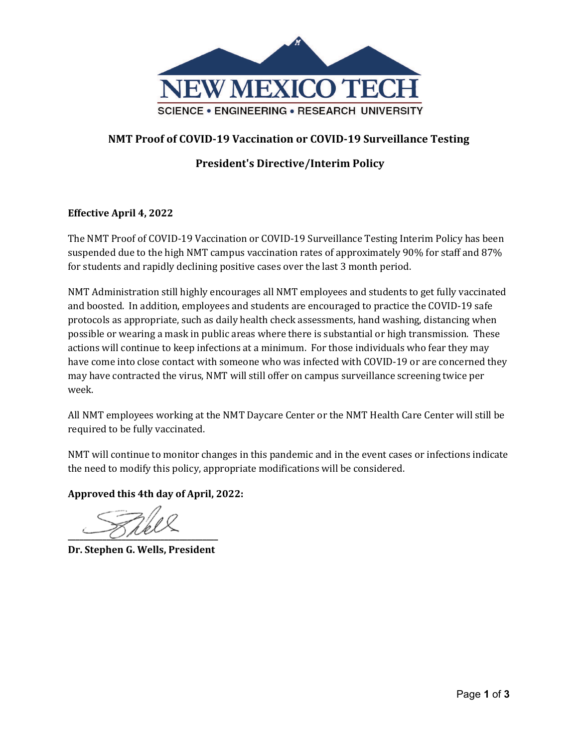

## **NMT Proof of COVID-19 Vaccination or COVID-19 Surveillance Testing**

# **President's Directive/Interim Policy**

## **Effective April 4, 2022**

The NMT Proof of COVID-19 Vaccination or COVID-19 Surveillance Testing Interim Policy has been suspended due to the high NMT campus vaccination rates of approximately 90% for staff and 87% for students and rapidly declining positive cases over the last 3 month period.

NMT Administration still highly encourages all NMT employees and students to get fully vaccinated and boosted. In addition, employees and students are encouraged to practice the COVID-19 safe protocols as appropriate, such as daily health check assessments, hand washing, distancing when possible or wearing a mask in public areas where there is substantial or high transmission. These actions will continue to keep infections at a minimum. For those individuals who fear they may have come into close contact with someone who was infected with COVID-19 or are concerned they may have contracted the virus, NMT will still offer on campus surveillance screening twice per week.

All NMT employees working at the NMT Daycare Center or the NMT Health Care Center will still be required to be fully vaccinated.

NMT will continue to monitor changes in this pandemic and in the event cases or infections indicate the need to modify this policy, appropriate modifications will be considered.

**Approved this 4th day of April, 2022:**

**\_\_\_\_\_\_\_\_\_\_\_\_\_\_\_\_\_\_\_\_\_\_\_\_\_\_\_\_\_\_\_\_\_\_\_\_\_\_\_**

**Dr. Stephen G. Wells, President**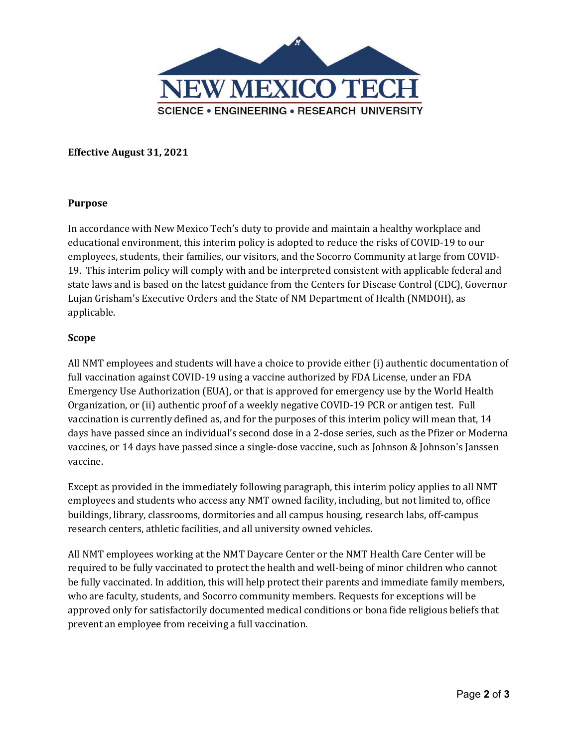

**Effective August 31, 2021**

#### **Purpose**

In accordance with New Mexico Tech's duty to provide and maintain a healthy workplace and educational environment, this interim policy is adopted to reduce the risks of COVID-19 to our employees, students, their families, our visitors, and the Socorro Community at large from COVID-19. This interim policy will comply with and be interpreted consistent with applicable federal and state laws and is based on the latest guidance from the Centers for Disease Control (CDC), Governor Lujan Grisham's Executive Orders and the State of NM Department of Health (NMDOH), as applicable.

### **Scope**

All NMT employees and students will have a choice to provide either (i) authentic documentation of full vaccination against COVID-19 using a vaccine authorized by FDA License, under an FDA Emergency Use Authorization (EUA), or that is approved for emergency use by the World Health Organization, or (ii) authentic proof of a weekly negative COVID-19 PCR or antigen test. Full vaccination is currently defined as, and for the purposes of this interim policy will mean that, 14 days have passed since an individual's second dose in a 2-dose series, such as the Pfizer or Moderna vaccines, or 14 days have passed since a single-dose vaccine, such as Johnson & Johnson's Janssen vaccine.

Except as provided in the immediately following paragraph, this interim policy applies to all NMT employees and students who access any NMT owned facility, including, but not limited to, office buildings, library, classrooms, dormitories and all campus housing, research labs, off-campus research centers, athletic facilities, and all university owned vehicles.

All NMT employees working at the NMT Daycare Center or the NMT Health Care Center will be required to be fully vaccinated to protect the health and well-being of minor children who cannot be fully vaccinated. In addition, this will help protect their parents and immediate family members, who are faculty, students, and Socorro community members. Requests for exceptions will be approved only for satisfactorily documented medical conditions or bona fide religious beliefs that prevent an employee from receiving a full vaccination.